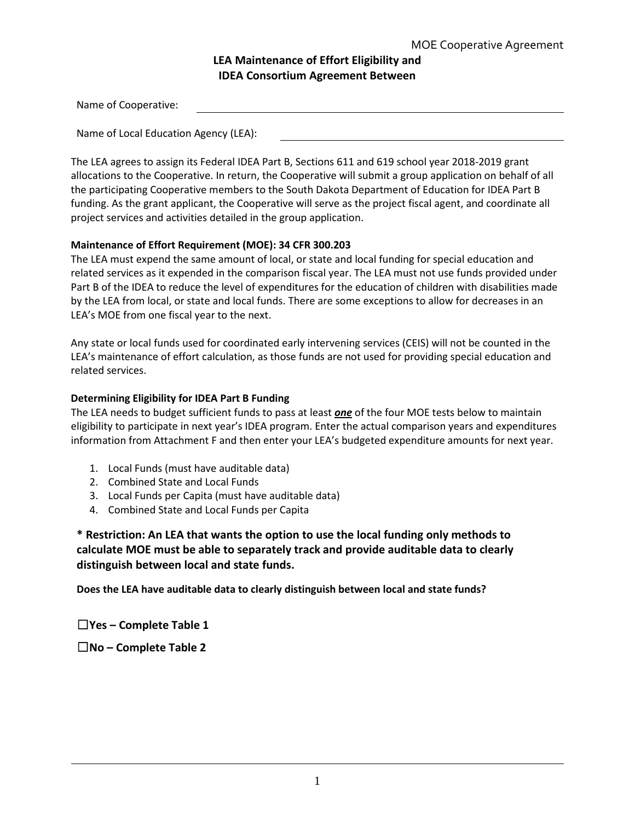# **LEA Maintenance of Effort Eligibility and IDEA Consortium Agreement Between**

| Name of Cooperative: |  |  |
|----------------------|--|--|
|                      |  |  |

Name of Local Education Agency (LEA):

The LEA agrees to assign its Federal IDEA Part B, Sections 611 and 619 school year 2018-2019 grant allocations to the Cooperative. In return, the Cooperative will submit a group application on behalf of all the participating Cooperative members to the South Dakota Department of Education for IDEA Part B funding. As the grant applicant, the Cooperative will serve as the project fiscal agent, and coordinate all project services and activities detailed in the group application.

## **Maintenance of Effort Requirement (MOE): 34 CFR 300.203**

The LEA must expend the same amount of local, or state and local funding for special education and related services as it expended in the comparison fiscal year. The LEA must not use funds provided under Part B of the IDEA to reduce the level of expenditures for the education of children with disabilities made by the LEA from local, or state and local funds. There are some exceptions to allow for decreases in an LEA's MOE from one fiscal year to the next.

Any state or local funds used for coordinated early intervening services (CEIS) will not be counted in the LEA's maintenance of effort calculation, as those funds are not used for providing special education and related services.

## **Determining Eligibility for IDEA Part B Funding**

The LEA needs to budget sufficient funds to pass at least *one* of the four MOE tests below to maintain eligibility to participate in next year's IDEA program. Enter the actual comparison years and expenditures information from Attachment F and then enter your LEA's budgeted expenditure amounts for next year.

- 1. Local Funds (must have auditable data)
- 2. Combined State and Local Funds
- 3. Local Funds per Capita (must have auditable data)
- 4. Combined State and Local Funds per Capita

**\* Restriction: An LEA that wants the option to use the local funding only methods to calculate MOE must be able to separately track and provide auditable data to clearly distinguish between local and state funds.**

**Does the LEA have auditable data to clearly distinguish between local and state funds?**

☐**Yes – Complete Table 1**

☐**No – Complete Table 2**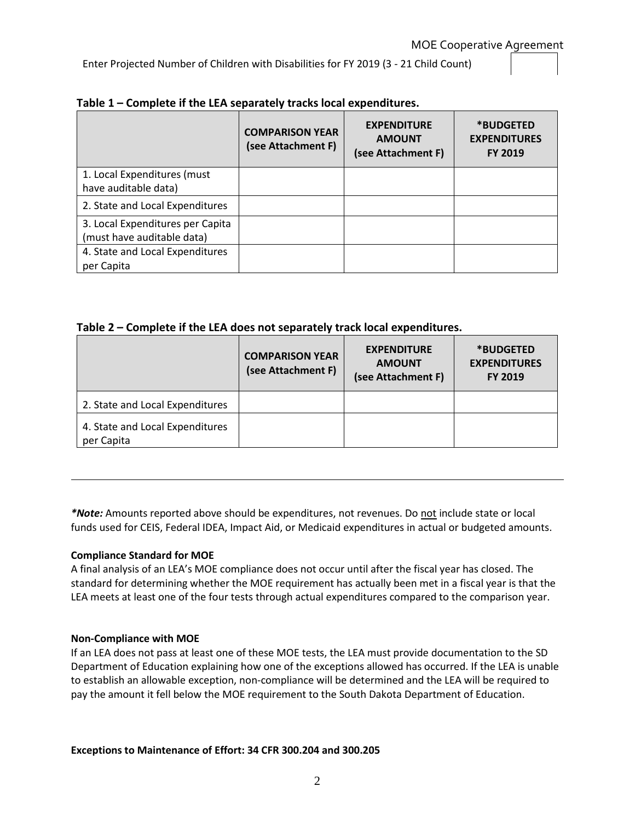Enter Projected Number of Children with Disabilities for FY 2019 (3 - 21 Child Count)

|                                                                | <b>COMPARISON YEAR</b><br>(see Attachment F) | <b>EXPENDITURE</b><br><b>AMOUNT</b><br>(see Attachment F) | *BUDGETED<br><b>EXPENDITURES</b><br><b>FY 2019</b> |
|----------------------------------------------------------------|----------------------------------------------|-----------------------------------------------------------|----------------------------------------------------|
| 1. Local Expenditures (must<br>have auditable data)            |                                              |                                                           |                                                    |
| 2. State and Local Expenditures                                |                                              |                                                           |                                                    |
| 3. Local Expenditures per Capita<br>(must have auditable data) |                                              |                                                           |                                                    |
| 4. State and Local Expenditures<br>per Capita                  |                                              |                                                           |                                                    |

## **Table 1 – Complete if the LEA separately tracks local expenditures.**

## **Table 2 – Complete if the LEA does not separately track local expenditures.**

|                                               | <b>COMPARISON YEAR</b><br>(see Attachment F) | <b>EXPENDITURE</b><br><b>AMOUNT</b><br>(see Attachment F) | *BUDGETED<br><b>EXPENDITURES</b><br><b>FY 2019</b> |
|-----------------------------------------------|----------------------------------------------|-----------------------------------------------------------|----------------------------------------------------|
| 2. State and Local Expenditures               |                                              |                                                           |                                                    |
| 4. State and Local Expenditures<br>per Capita |                                              |                                                           |                                                    |

*\*Note:* Amounts reported above should be expenditures, not revenues. Do not include state or local funds used for CEIS, Federal IDEA, Impact Aid, or Medicaid expenditures in actual or budgeted amounts.

#### **Compliance Standard for MOE**

A final analysis of an LEA's MOE compliance does not occur until after the fiscal year has closed. The standard for determining whether the MOE requirement has actually been met in a fiscal year is that the LEA meets at least one of the four tests through actual expenditures compared to the comparison year.

#### **Non-Compliance with MOE**

If an LEA does not pass at least one of these MOE tests, the LEA must provide documentation to the SD Department of Education explaining how one of the exceptions allowed has occurred. If the LEA is unable to establish an allowable exception, non-compliance will be determined and the LEA will be required to pay the amount it fell below the MOE requirement to the South Dakota Department of Education.

#### **Exceptions to Maintenance of Effort: 34 CFR 300.204 and 300.205**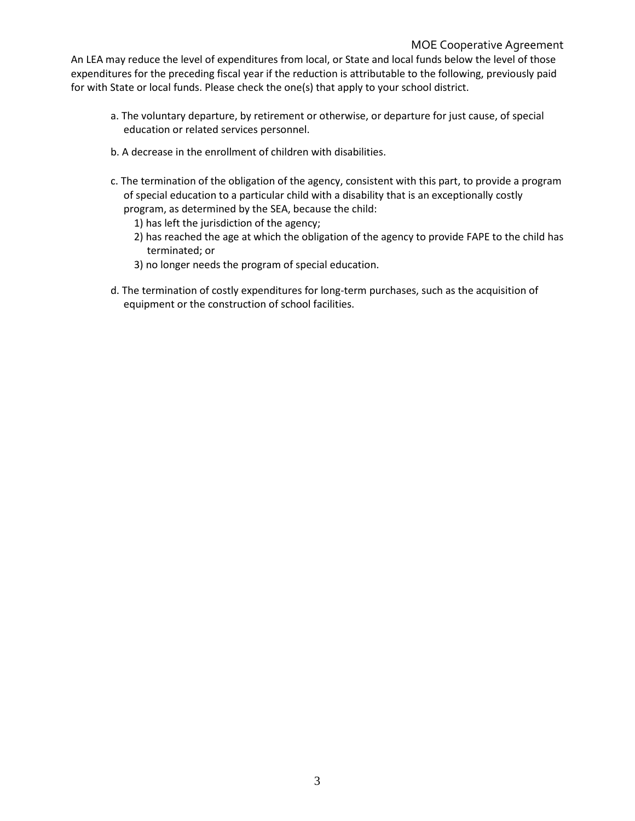An LEA may reduce the level of expenditures from local, or State and local funds below the level of those expenditures for the preceding fiscal year if the reduction is attributable to the following, previously paid for with State or local funds. Please check the one(s) that apply to your school district.

- a. The voluntary departure, by retirement or otherwise, or departure for just cause, of special education or related services personnel.
- b. A decrease in the enrollment of children with disabilities.
- c. The termination of the obligation of the agency, consistent with this part, to provide a program of special education to a particular child with a disability that is an exceptionally costly program, as determined by the SEA, because the child:
	- 1) has left the jurisdiction of the agency;
	- 2) has reached the age at which the obligation of the agency to provide FAPE to the child has terminated; or
	- 3) no longer needs the program of special education.
- d. The termination of costly expenditures for long-term purchases, such as the acquisition of equipment or the construction of school facilities.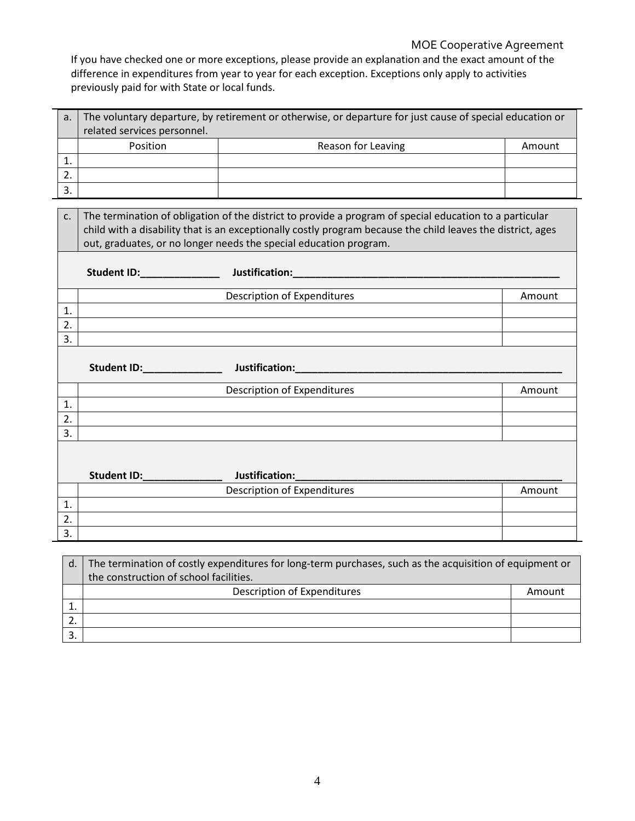# MOE Cooperative Agreement

If you have checked one or more exceptions, please provide an explanation and the exact amount of the difference in expenditures from year to year for each exception. Exceptions only apply to activities previously paid for with State or local funds.

| a <sub>r</sub>   | The voluntary departure, by retirement or otherwise, or departure for just cause of special education or |                                                                                                             |        |  |  |  |  |  |  |  |
|------------------|----------------------------------------------------------------------------------------------------------|-------------------------------------------------------------------------------------------------------------|--------|--|--|--|--|--|--|--|
|                  | related services personnel.                                                                              |                                                                                                             |        |  |  |  |  |  |  |  |
|                  | Position                                                                                                 | Reason for Leaving                                                                                          | Amount |  |  |  |  |  |  |  |
| 1.               |                                                                                                          |                                                                                                             |        |  |  |  |  |  |  |  |
| 2.               |                                                                                                          |                                                                                                             |        |  |  |  |  |  |  |  |
| 3.               |                                                                                                          |                                                                                                             |        |  |  |  |  |  |  |  |
|                  |                                                                                                          |                                                                                                             |        |  |  |  |  |  |  |  |
| C <sub>1</sub>   |                                                                                                          | The termination of obligation of the district to provide a program of special education to a particular     |        |  |  |  |  |  |  |  |
|                  |                                                                                                          | child with a disability that is an exceptionally costly program because the child leaves the district, ages |        |  |  |  |  |  |  |  |
|                  |                                                                                                          | out, graduates, or no longer needs the special education program.                                           |        |  |  |  |  |  |  |  |
|                  |                                                                                                          |                                                                                                             |        |  |  |  |  |  |  |  |
|                  |                                                                                                          |                                                                                                             |        |  |  |  |  |  |  |  |
|                  | Description of Expenditures                                                                              |                                                                                                             |        |  |  |  |  |  |  |  |
| 1.               |                                                                                                          |                                                                                                             |        |  |  |  |  |  |  |  |
| 2.               |                                                                                                          |                                                                                                             |        |  |  |  |  |  |  |  |
| 3.               |                                                                                                          |                                                                                                             |        |  |  |  |  |  |  |  |
|                  |                                                                                                          |                                                                                                             |        |  |  |  |  |  |  |  |
|                  |                                                                                                          |                                                                                                             |        |  |  |  |  |  |  |  |
|                  |                                                                                                          | <b>Description of Expenditures</b>                                                                          | Amount |  |  |  |  |  |  |  |
| 1.               |                                                                                                          |                                                                                                             |        |  |  |  |  |  |  |  |
| 2.               |                                                                                                          |                                                                                                             |        |  |  |  |  |  |  |  |
| 3.               |                                                                                                          |                                                                                                             |        |  |  |  |  |  |  |  |
|                  |                                                                                                          |                                                                                                             |        |  |  |  |  |  |  |  |
|                  |                                                                                                          |                                                                                                             |        |  |  |  |  |  |  |  |
|                  | Student ID: _________________ Justification:                                                             |                                                                                                             |        |  |  |  |  |  |  |  |
|                  |                                                                                                          | <b>Description of Expenditures</b>                                                                          | Amount |  |  |  |  |  |  |  |
| 1.               |                                                                                                          |                                                                                                             |        |  |  |  |  |  |  |  |
| $\overline{2}$ . |                                                                                                          |                                                                                                             |        |  |  |  |  |  |  |  |
| 3.               |                                                                                                          |                                                                                                             |        |  |  |  |  |  |  |  |

| d | The termination of costly expenditures for long-term purchases, such as the acquisition of equipment or |        |  |  |  |  |  |
|---|---------------------------------------------------------------------------------------------------------|--------|--|--|--|--|--|
|   | the construction of school facilities.                                                                  |        |  |  |  |  |  |
|   | Description of Expenditures                                                                             | Amount |  |  |  |  |  |
|   |                                                                                                         |        |  |  |  |  |  |
|   |                                                                                                         |        |  |  |  |  |  |
|   |                                                                                                         |        |  |  |  |  |  |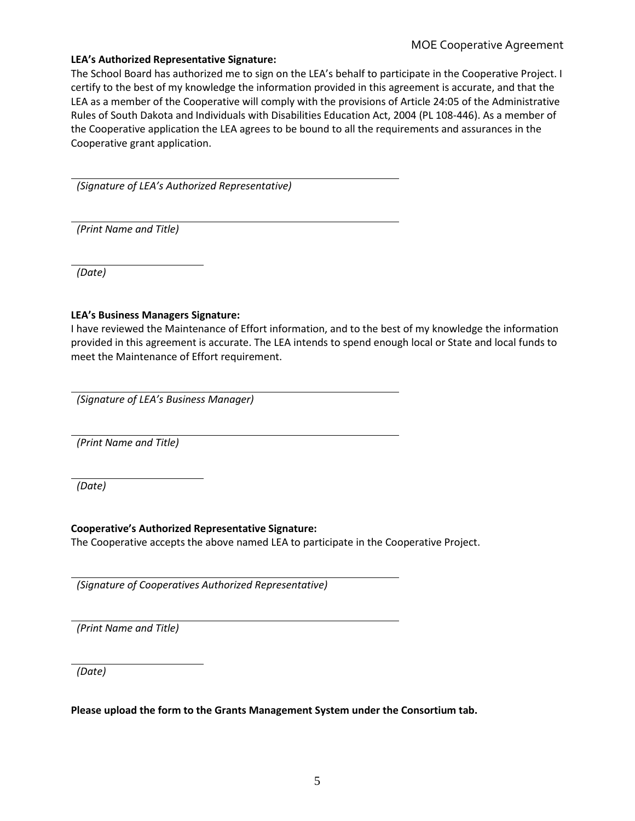# MOE Cooperative Agreement

## **LEA's Authorized Representative Signature:**

The School Board has authorized me to sign on the LEA's behalf to participate in the Cooperative Project. I certify to the best of my knowledge the information provided in this agreement is accurate, and that the LEA as a member of the Cooperative will comply with the provisions of Article 24:05 of the Administrative Rules of South Dakota and Individuals with Disabilities Education Act, 2004 (PL 108-446). As a member of the Cooperative application the LEA agrees to be bound to all the requirements and assurances in the Cooperative grant application.

*(Signature of LEA's Authorized Representative)* 

*(Print Name and Title)* 

*(Date)*

#### **LEA's Business Managers Signature:**

I have reviewed the Maintenance of Effort information, and to the best of my knowledge the information provided in this agreement is accurate. The LEA intends to spend enough local or State and local funds to meet the Maintenance of Effort requirement.

*(Signature of LEA's Business Manager)* 

*(Print Name and Title)* 

*(Date)*

#### **Cooperative's Authorized Representative Signature:**

The Cooperative accepts the above named LEA to participate in the Cooperative Project.

*(Signature of Cooperatives Authorized Representative)* 

*(Print Name and Title)* 

*(Date)*

**Please upload the form to the Grants Management System under the Consortium tab.**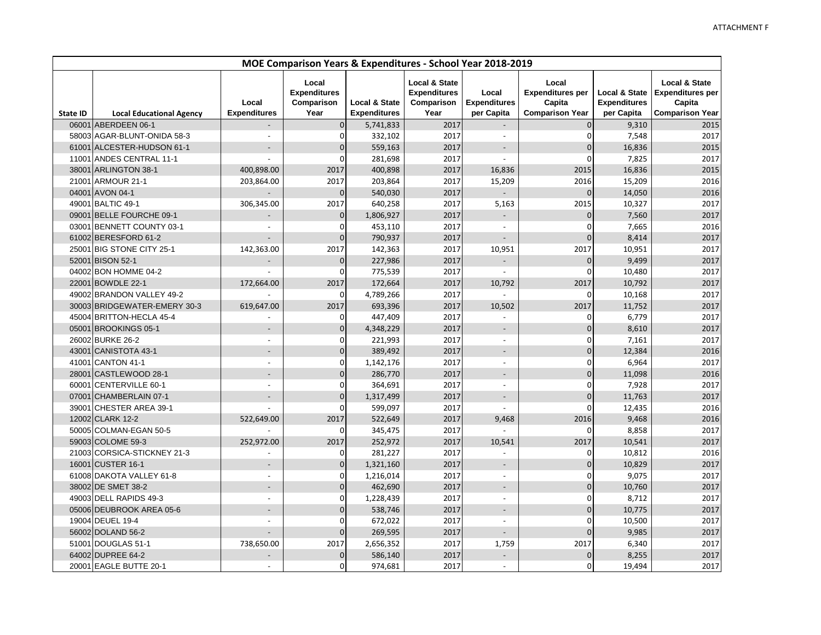|                 | MOE Comparison Years & Expenditures - School Year 2018-2019 |                              |                                                    |                                                 |                                                                       |                                            |                                                                      |                                                               |                                                                                         |
|-----------------|-------------------------------------------------------------|------------------------------|----------------------------------------------------|-------------------------------------------------|-----------------------------------------------------------------------|--------------------------------------------|----------------------------------------------------------------------|---------------------------------------------------------------|-----------------------------------------------------------------------------------------|
| <b>State ID</b> | <b>Local Educational Agency</b>                             | Local<br><b>Expenditures</b> | Local<br><b>Expenditures</b><br>Comparison<br>Year | <b>Local &amp; State</b><br><b>Expenditures</b> | <b>Local &amp; State</b><br><b>Expenditures</b><br>Comparison<br>Year | Local<br><b>Expenditures</b><br>per Capita | Local<br><b>Expenditures per</b><br>Capita<br><b>Comparison Year</b> | <b>Local &amp; State</b><br><b>Expenditures</b><br>per Capita | <b>Local &amp; State</b><br><b>Expenditures per</b><br>Capita<br><b>Comparison Year</b> |
| 06001           | ABERDEEN 06-1                                               |                              | $\mathbf 0$                                        | 5,741,833                                       | 2017                                                                  | $\overline{\phantom{a}}$                   | $\mathbf{0}$                                                         | 9,310                                                         | 2015                                                                                    |
|                 | 58003 AGAR-BLUNT-ONIDA 58-3                                 |                              | $\mathbf 0$                                        | 332,102                                         | 2017                                                                  | $\overline{\phantom{a}}$                   | $\Omega$                                                             | 7,548                                                         | 2017                                                                                    |
|                 | 61001 ALCESTER-HUDSON 61-1                                  | $\overline{\phantom{a}}$     | $\overline{0}$                                     | 559,163                                         | 2017                                                                  | $\overline{a}$                             | $\mathbf 0$                                                          | 16,836                                                        | 2015                                                                                    |
|                 | 11001 ANDES CENTRAL 11-1                                    |                              | 0                                                  | 281,698                                         | 2017                                                                  | $\overline{a}$                             | 0                                                                    | 7,825                                                         | 2017                                                                                    |
| 38001           | ARLINGTON 38-1                                              | 400,898.00                   | 2017                                               | 400,898                                         | 2017                                                                  | 16,836                                     | 2015                                                                 | 16,836                                                        | 2015                                                                                    |
| 21001           | ARMOUR 21-1                                                 | 203,864.00                   | 2017                                               | 203,864                                         | 2017                                                                  | 15,209                                     | 2016                                                                 | 15,209                                                        | 2016                                                                                    |
|                 | 04001 AVON 04-1                                             |                              | $\mathbf 0$                                        | 540,030                                         | 2017                                                                  |                                            | $\Omega$                                                             | 14,050                                                        | 2016                                                                                    |
|                 | 49001 BALTIC 49-1                                           | 306,345.00                   | 2017                                               | 640,258                                         | 2017                                                                  | 5,163                                      | 2015                                                                 | 10,327                                                        | 2017                                                                                    |
|                 | 09001 BELLE FOURCHE 09-1                                    |                              | $\Omega$                                           | 1,806,927                                       | 2017                                                                  |                                            | $\mathbf 0$                                                          | 7,560                                                         | 2017                                                                                    |
|                 | 03001 BENNETT COUNTY 03-1                                   |                              | $\mathbf 0$                                        | 453,110                                         | 2017                                                                  | $\overline{\phantom{a}}$                   | 0                                                                    | 7,665                                                         | 2016                                                                                    |
|                 | 61002 BERESFORD 61-2                                        |                              | $\Omega$                                           | 790,937                                         | 2017                                                                  |                                            | $\Omega$                                                             | 8,414                                                         | 2017                                                                                    |
|                 | 25001 BIG STONE CITY 25-1                                   | 142,363.00                   | 2017                                               | 142,363                                         | 2017                                                                  | 10,951                                     | 2017                                                                 | 10,951                                                        | 2017                                                                                    |
|                 | 52001 BISON 52-1                                            |                              | $\overline{0}$                                     | 227,986                                         | 2017                                                                  |                                            | $\mathbf{0}$                                                         | 9,499                                                         | 2017                                                                                    |
|                 | 04002 BON HOMME 04-2                                        |                              | $\Omega$                                           | 775,539                                         | 2017                                                                  | $\blacksquare$                             | $\Omega$                                                             | 10,480                                                        | 2017                                                                                    |
|                 | 22001 BOWDLE 22-1                                           | 172,664.00                   | 2017                                               | 172,664                                         | 2017                                                                  | 10,792                                     | 2017                                                                 | 10,792                                                        | 2017                                                                                    |
|                 | 49002 BRANDON VALLEY 49-2                                   |                              | $\Omega$                                           | 4,789,266                                       | 2017                                                                  |                                            | $\mathbf 0$                                                          | 10,168                                                        | 2017                                                                                    |
|                 | 30003 BRIDGEWATER-EMERY 30-3                                | 619,647.00                   | 2017                                               | 693,396                                         | 2017                                                                  | 10,502                                     | 2017                                                                 | 11,752                                                        | 2017                                                                                    |
|                 | 45004 BRITTON-HECLA 45-4                                    |                              | 0                                                  | 447,409                                         | 2017                                                                  |                                            | 0                                                                    | 6,779                                                         | 2017                                                                                    |
|                 | 05001 BROOKINGS 05-1                                        | $\overline{a}$               | $\Omega$                                           | 4,348,229                                       | 2017                                                                  |                                            | $\Omega$                                                             | 8,610                                                         | 2017                                                                                    |
|                 | 26002 BURKE 26-2                                            | $\overline{\phantom{a}}$     | $\mathbf 0$                                        | 221,993                                         | 2017                                                                  | $\blacksquare$                             | 0                                                                    | 7,161                                                         | 2017                                                                                    |
|                 | 43001 CANISTOTA 43-1                                        |                              | $\overline{0}$                                     | 389,492                                         | 2017                                                                  |                                            | 0                                                                    | 12,384                                                        | 2016                                                                                    |
|                 | 41001 CANTON 41-1                                           | $\overline{a}$               | $\mathbf 0$                                        | 1,142,176                                       | 2017                                                                  | $\blacksquare$                             | 0                                                                    | 6,964                                                         | 2017                                                                                    |
|                 | 28001 CASTLEWOOD 28-1                                       |                              | $\mathbf 0$                                        | 286,770                                         | 2017                                                                  |                                            | $\mathbf 0$                                                          | 11,098                                                        | 2016                                                                                    |
| 60001           | <b>CENTERVILLE 60-1</b>                                     | $\blacksquare$               | $\mathbf 0$                                        | 364,691                                         | 2017                                                                  | $\overline{\phantom{a}}$                   | $\Omega$                                                             | 7,928                                                         | 2017                                                                                    |
| 07001           | CHAMBERLAIN 07-1                                            | $\overline{\phantom{a}}$     | $\Omega$                                           | 1,317,499                                       | 2017                                                                  |                                            | $\Omega$                                                             | 11,763                                                        | 2017                                                                                    |
|                 | 39001 CHESTER AREA 39-1                                     | $\overline{a}$               | 0                                                  | 599,097                                         | 2017                                                                  | $\overline{a}$                             | $\mathbf 0$                                                          | 12,435                                                        | 2016                                                                                    |
|                 | 12002 CLARK 12-2                                            | 522,649.00                   | 2017                                               | 522,649                                         | 2017                                                                  | 9,468                                      | 2016                                                                 | 9,468                                                         | 2016                                                                                    |
|                 | 50005 COLMAN-EGAN 50-5                                      |                              | $\Omega$                                           | 345,475                                         | 2017                                                                  |                                            | $\Omega$                                                             | 8,858                                                         | 2017                                                                                    |
|                 | 59003 COLOME 59-3                                           | 252,972.00                   | 2017                                               | 252,972                                         | 2017                                                                  | 10,541                                     | 2017                                                                 | 10,541                                                        | 2017                                                                                    |
|                 | 21003 CORSICA-STICKNEY 21-3                                 |                              | $\mathbf 0$                                        | 281,227                                         | 2017                                                                  |                                            | $\Omega$                                                             | 10,812                                                        | 2016                                                                                    |
|                 | 16001 CUSTER 16-1                                           | $\overline{\phantom{a}}$     | $\Omega$                                           | 1,321,160                                       | 2017                                                                  | $\overline{\phantom{a}}$                   | $\mathbf 0$                                                          | 10,829                                                        | 2017                                                                                    |
|                 | 61008 DAKOTA VALLEY 61-8                                    | $\overline{\phantom{a}}$     | $\mathbf 0$                                        | 1,216,014                                       | 2017                                                                  | $\overline{\phantom{a}}$                   | 0                                                                    | 9,075                                                         | 2017                                                                                    |
|                 | 38002 DE SMET 38-2                                          | $\overline{a}$               | $\overline{0}$                                     | 462,690                                         | 2017                                                                  | $\overline{\phantom{a}}$                   | $\mathbf{0}$                                                         | 10,760                                                        | 2017                                                                                    |
|                 | 49003 DELL RAPIDS 49-3                                      | $\overline{a}$               | $\mathbf 0$                                        | 1,228,439                                       | 2017                                                                  | $\blacksquare$                             | 0                                                                    | 8,712                                                         | 2017                                                                                    |
|                 | 05006 DEUBROOK AREA 05-6                                    | $\overline{a}$               | $\Omega$                                           | 538,746                                         | 2017                                                                  |                                            | 0                                                                    | 10,775                                                        | 2017                                                                                    |
|                 | 19004 DEUEL 19-4                                            | $\overline{a}$               | $\Omega$                                           | 672,022                                         | 2017                                                                  | $\blacksquare$                             | 0                                                                    | 10,500                                                        | 2017                                                                                    |
|                 | 56002 DOLAND 56-2                                           | $\overline{\phantom{a}}$     | $\mathbf 0$                                        | 269,595                                         | 2017                                                                  |                                            | $\mathbf 0$                                                          | 9,985                                                         | 2017                                                                                    |
|                 | 51001 DOUGLAS 51-1                                          | 738,650.00                   | 2017                                               | 2,656,352                                       | 2017                                                                  | 1,759                                      | 2017                                                                 | 6,340                                                         | 2017                                                                                    |
|                 | 64002 DUPREE 64-2                                           |                              | $\mathbf 0$                                        | 586,140                                         | 2017                                                                  |                                            | $\mathbf 0$                                                          | 8,255                                                         | 2017                                                                                    |
|                 | 20001 EAGLE BUTTE 20-1                                      | $\overline{a}$               | $\mathbf 0$                                        | 974,681                                         | 2017                                                                  | $\overline{a}$                             | $\overline{0}$                                                       | 19,494                                                        | 2017                                                                                    |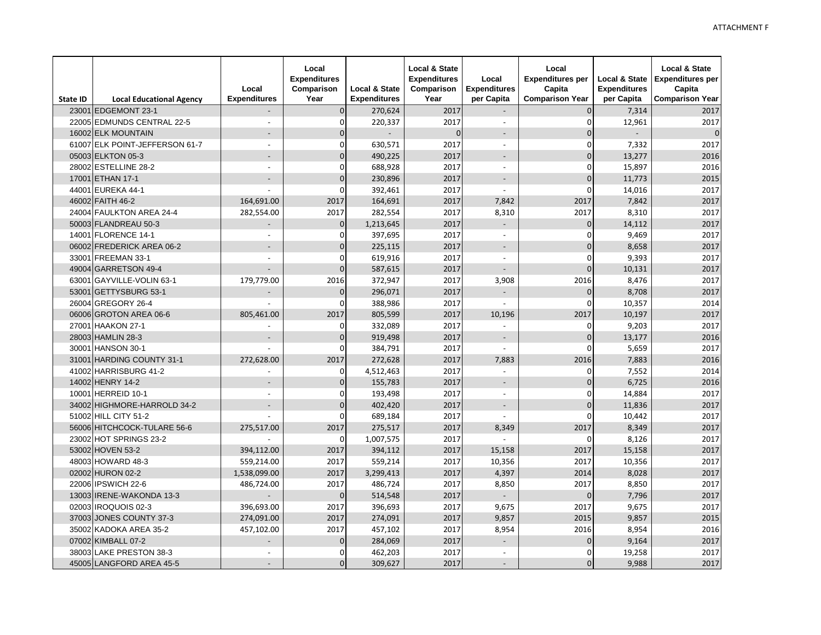| <b>State ID</b> | <b>Local Educational Agency</b> | Local<br><b>Expenditures</b> | Local<br><b>Expenditures</b><br>Comparison<br>Year | <b>Local &amp; State</b><br><b>Expenditures</b> | <b>Local &amp; State</b><br><b>Expenditures</b><br>Comparison<br>Year | Local<br><b>Expenditures</b><br>per Capita | Local<br><b>Expenditures per</b><br>Capita<br><b>Comparison Year</b> | <b>Local &amp; State</b><br><b>Expenditures</b><br>per Capita | <b>Local &amp; State</b><br><b>Expenditures per</b><br>Capita<br><b>Comparison Year</b> |
|-----------------|---------------------------------|------------------------------|----------------------------------------------------|-------------------------------------------------|-----------------------------------------------------------------------|--------------------------------------------|----------------------------------------------------------------------|---------------------------------------------------------------|-----------------------------------------------------------------------------------------|
| 23001           | EDGEMONT 23-1                   | $\overline{a}$               | $\overline{0}$                                     | 270,624                                         | 2017                                                                  | $\overline{a}$                             | $\overline{O}$                                                       | 7,314                                                         | 2017                                                                                    |
|                 | 22005 EDMUNDS CENTRAL 22-5      |                              | $\mathbf{0}$                                       | 220,337                                         | 2017                                                                  | $\overline{a}$                             | $\mathbf{0}$                                                         | 12,961                                                        | 2017                                                                                    |
|                 | 16002 ELK MOUNTAIN              |                              | $\Omega$                                           |                                                 | $\Omega$                                                              |                                            | $\Omega$                                                             |                                                               | $\mathbf 0$                                                                             |
|                 | 61007 ELK POINT-JEFFERSON 61-7  | $\overline{\phantom{a}}$     | $\mathbf{0}$                                       | 630,571                                         | 2017                                                                  | $\overline{a}$                             | $\Omega$                                                             | 7,332                                                         | 2017                                                                                    |
|                 | 05003 ELKTON 05-3               | $\overline{a}$               | $\overline{0}$                                     | 490,225                                         | 2017                                                                  | $\overline{a}$                             | $\Omega$                                                             | 13,277                                                        | 2016                                                                                    |
|                 | 28002 ESTELLINE 28-2            | $\overline{\phantom{a}}$     | $\Omega$                                           | 688,928                                         | 2017                                                                  | $\overline{\phantom{a}}$                   | $\Omega$                                                             | 15,897                                                        | 2016                                                                                    |
|                 | 17001 ETHAN 17-1                | $\overline{a}$               | $\overline{0}$                                     | 230,896                                         | 2017                                                                  | $\overline{a}$                             | $\Omega$                                                             | 11,773                                                        | 2015                                                                                    |
|                 | 44001 EUREKA 44-1               | $\overline{a}$               | 0                                                  | 392,461                                         | 2017                                                                  | $\overline{a}$                             | $\Omega$                                                             | 14,016                                                        | 2017                                                                                    |
|                 | 46002 FAITH 46-2                | 164,691.00                   | 2017                                               | 164,691                                         | 2017                                                                  | 7,842                                      | 2017                                                                 | 7,842                                                         | 2017                                                                                    |
|                 | 24004 FAULKTON AREA 24-4        | 282,554.00                   | 2017                                               | 282,554                                         | 2017                                                                  | 8,310                                      | 2017                                                                 | 8,310                                                         | 2017                                                                                    |
|                 | 50003 FLANDREAU 50-3            |                              | $\overline{0}$                                     | 1,213,645                                       | 2017                                                                  | $\overline{a}$                             | $\Omega$                                                             | 14,112                                                        | 2017                                                                                    |
|                 | 14001 FLORENCE 14-1             | $\overline{a}$               | $\Omega$                                           | 397,695                                         | 2017                                                                  | $\overline{a}$                             | $\Omega$                                                             | 9,469                                                         | 2017                                                                                    |
|                 | 06002 FREDERICK AREA 06-2       | $\overline{a}$               | $\overline{0}$                                     | 225,115                                         | 2017                                                                  | $\overline{a}$                             | $\Omega$                                                             | 8,658                                                         | 2017                                                                                    |
|                 | 33001 FREEMAN 33-1              | $\overline{a}$               | 0                                                  | 619,916                                         | 2017                                                                  | $\overline{a}$                             | $\Omega$                                                             | 9,393                                                         | 2017                                                                                    |
|                 | 49004 GARRETSON 49-4            | $\overline{a}$               | $\Omega$                                           | 587,615                                         | 2017                                                                  |                                            | $\Omega$                                                             | 10,131                                                        | 2017                                                                                    |
|                 | 63001 GAYVILLE-VOLIN 63-1       | 179,779.00                   | 2016                                               | 372,947                                         | 2017                                                                  | 3,908                                      | 2016                                                                 | 8,476                                                         | 2017                                                                                    |
| 53001           | GETTYSBURG 53-1                 | $\overline{\phantom{a}}$     | $\overline{0}$                                     | 296,071                                         | 2017                                                                  | $\overline{\phantom{a}}$                   | $\Omega$                                                             | 8,708                                                         | 2017                                                                                    |
|                 | 26004 GREGORY 26-4              |                              | 0                                                  | 388,986                                         | 2017                                                                  |                                            | $\Omega$                                                             | 10,357                                                        | 2014                                                                                    |
|                 | 06006 GROTON AREA 06-6          | 805.461.00                   | 2017                                               | 805,599                                         | 2017                                                                  | 10.196                                     | 2017                                                                 | 10,197                                                        | 2017                                                                                    |
|                 | 27001 HAAKON 27-1               |                              | $\Omega$                                           | 332,089                                         | 2017                                                                  |                                            | $\Omega$                                                             | 9,203                                                         | 2017                                                                                    |
|                 | 28003 HAMLIN 28-3               |                              | $\overline{0}$                                     | 919,498                                         | 2017                                                                  |                                            | $\Omega$                                                             | 13,177                                                        | 2016                                                                                    |
|                 | 30001 HANSON 30-1               | $\overline{a}$               | 0                                                  | 384,791                                         | 2017                                                                  | $\overline{a}$                             | $\Omega$                                                             | 5.659                                                         | 2017                                                                                    |
|                 | 31001 HARDING COUNTY 31-1       | 272.628.00                   | 2017                                               | 272,628                                         | 2017                                                                  | 7,883                                      | 2016                                                                 | 7,883                                                         | 2016                                                                                    |
|                 | 41002 HARRISBURG 41-2           |                              | $\Omega$                                           | 4,512,463                                       | 2017                                                                  | $\overline{a}$                             | $\Omega$                                                             | 7,552                                                         | 2014                                                                                    |
|                 | 14002 HENRY 14-2                | $\overline{a}$               | $\overline{0}$                                     | 155,783                                         | 2017                                                                  | $\overline{a}$                             | $\Omega$                                                             | 6,725                                                         | 2016                                                                                    |
|                 | 10001 HERREID 10-1              | $\overline{a}$               | $\mathbf{0}$                                       | 193,498                                         | 2017                                                                  | $\overline{a}$                             | $\overline{0}$                                                       | 14,884                                                        | 2017                                                                                    |
|                 | 34002 HIGHMORE-HARROLD 34-2     | $\overline{a}$               | $\overline{0}$                                     | 402,420                                         | 2017                                                                  | $\overline{a}$                             | $\Omega$                                                             | 11,836                                                        | 2017                                                                                    |
|                 | 51002 HILL CITY 51-2            |                              | $\Omega$                                           | 689,184                                         | 2017                                                                  | $\overline{a}$                             | $\Omega$                                                             | 10,442                                                        | 2017                                                                                    |
|                 | 56006 HITCHCOCK-TULARE 56-6     | 275,517.00                   | 2017                                               | 275,517                                         | 2017                                                                  | 8,349                                      | 2017                                                                 | 8,349                                                         | 2017                                                                                    |
|                 | 23002 HOT SPRINGS 23-2          |                              | $\Omega$                                           | 1,007,575                                       | 2017                                                                  |                                            | $\Omega$                                                             | 8,126                                                         | 2017                                                                                    |
|                 | 53002 HOVEN 53-2                | 394.112.00                   | 2017                                               | 394,112                                         | 2017                                                                  | 15.158                                     | 2017                                                                 | 15,158                                                        | 2017                                                                                    |
|                 | 48003 HOWARD 48-3               | 559,214.00                   | 2017                                               | 559,214                                         | 2017                                                                  | 10,356                                     | 2017                                                                 | 10,356                                                        | 2017                                                                                    |
|                 | 02002 HURON 02-2                | 1,538,099.00                 | 2017                                               | 3,299,413                                       | 2017                                                                  | 4,397                                      | 2014                                                                 | 8,028                                                         | 2017                                                                                    |
|                 | 22006 IPSWICH 22-6              | 486,724.00                   | 2017                                               | 486,724                                         | 2017                                                                  | 8,850                                      | 2017                                                                 | 8,850                                                         | 2017                                                                                    |
|                 | 13003 IRENE-WAKONDA 13-3        |                              | $\overline{0}$                                     | 514,548                                         | 2017                                                                  | $\overline{a}$                             | $\mathbf{0}$                                                         | 7,796                                                         | 2017                                                                                    |
|                 | 02003 IROQUOIS 02-3             | 396,693.00                   | 2017                                               | 396,693                                         | 2017                                                                  | 9,675                                      | 2017                                                                 | 9,675                                                         | 2017                                                                                    |
|                 | 37003 JONES COUNTY 37-3         | 274,091.00                   | 2017                                               | 274,091                                         | 2017                                                                  | 9,857                                      | 2015                                                                 | 9,857                                                         | 2015                                                                                    |
|                 | 35002 KADOKA AREA 35-2          | 457,102.00                   | 2017                                               | 457,102                                         | 2017                                                                  | 8,954                                      | 2016                                                                 | 8,954                                                         | 2016                                                                                    |
|                 | 07002 KIMBALL 07-2              |                              | $\overline{0}$                                     | 284,069                                         | 2017                                                                  | $\overline{a}$                             | $\Omega$                                                             | 9,164                                                         | 2017                                                                                    |
|                 | 38003 LAKE PRESTON 38-3         | $\overline{a}$               | $\overline{0}$                                     | 462,203                                         | 2017                                                                  | $\overline{a}$                             | $\Omega$                                                             | 19,258                                                        | 2017                                                                                    |
|                 | 45005 LANGFORD AREA 45-5        | $\overline{a}$               | $\overline{0}$                                     | 309,627                                         | 2017                                                                  | $\overline{a}$                             | $\Omega$                                                             | 9,988                                                         | 2017                                                                                    |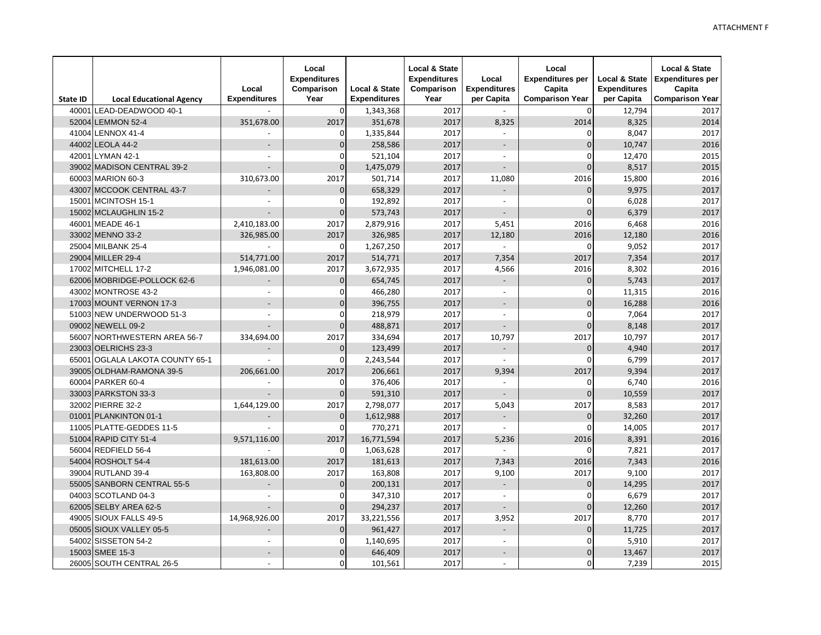| <b>State ID</b> | <b>Local Educational Agency</b> | Local<br><b>Expenditures</b> | Local<br><b>Expenditures</b><br>Comparison<br>Year | Local & State<br><b>Expenditures</b> | <b>Local &amp; State</b><br><b>Expenditures</b><br>Comparison<br>Year | Local<br><b>Expenditures</b><br>per Capita | Local<br><b>Expenditures per</b><br>Capita<br><b>Comparison Year</b> | Local & State<br><b>Expenditures</b><br>per Capita | <b>Local &amp; State</b><br><b>Expenditures per</b><br>Capita<br><b>Comparison Year</b> |
|-----------------|---------------------------------|------------------------------|----------------------------------------------------|--------------------------------------|-----------------------------------------------------------------------|--------------------------------------------|----------------------------------------------------------------------|----------------------------------------------------|-----------------------------------------------------------------------------------------|
| 40001           | LEAD-DEADWOOD 40-1              |                              | $\overline{0}$                                     | 1,343,368                            | 2017                                                                  |                                            | $\Omega$                                                             | 12,794                                             | 2017                                                                                    |
|                 | 52004 LEMMON 52-4               | 351.678.00                   | 2017                                               | 351.678                              | 2017                                                                  | 8.325                                      | 2014                                                                 | 8.325                                              | 2014                                                                                    |
|                 | 41004 LENNOX 41-4               |                              | 0                                                  | 1,335,844                            | 2017                                                                  | $\overline{a}$                             | $\Omega$                                                             | 8,047                                              | 2017                                                                                    |
|                 | 44002 LEOLA 44-2                |                              | $\Omega$                                           | 258,586                              | 2017                                                                  | $\overline{a}$                             | 0                                                                    | 10,747                                             | 2016                                                                                    |
| 42001           | LYMAN 42-1                      | $\overline{a}$               | $\Omega$                                           | 521,104                              | 2017                                                                  | $\overline{a}$                             | $\Omega$                                                             | 12,470                                             | 2015                                                                                    |
|                 | 39002 MADISON CENTRAL 39-2      | $\overline{a}$               | $\Omega$                                           | 1,475,079                            | 2017                                                                  | $\overline{a}$                             | $\overline{0}$                                                       | 8,517                                              | 2015                                                                                    |
|                 | 60003 MARION 60-3               | 310,673.00                   | 2017                                               | 501,714                              | 2017                                                                  | 11,080                                     | 2016                                                                 | 15,800                                             | 2016                                                                                    |
| 43007           | MCCOOK CENTRAL 43-7             | $\overline{a}$               | $\overline{0}$                                     | 658,329                              | 2017                                                                  | $\overline{a}$                             | $\Omega$                                                             | 9,975                                              | 2017                                                                                    |
| 15001           | MCINTOSH 15-1                   | $\overline{a}$               | 0                                                  | 192,892                              | 2017                                                                  | $\overline{a}$                             | 0                                                                    | 6,028                                              | 2017                                                                                    |
|                 | 15002 MCLAUGHLIN 15-2           | $\overline{a}$               | $\Omega$                                           | 573,743                              | 2017                                                                  | $\overline{a}$                             | 0                                                                    | 6,379                                              | 2017                                                                                    |
| 46001           | MEADE 46-1                      | 2.410.183.00                 | 2017                                               | 2,879,916                            | 2017                                                                  | 5.451                                      | 2016                                                                 | 6,468                                              | 2016                                                                                    |
|                 | 33002 MENNO 33-2                | 326,985.00                   | 2017                                               | 326,985                              | 2017                                                                  | 12,180                                     | 2016                                                                 | 12,180                                             | 2016                                                                                    |
|                 | 25004 MILBANK 25-4              |                              | 0                                                  | 1,267,250                            | 2017                                                                  |                                            | $\Omega$                                                             | 9,052                                              | 2017                                                                                    |
|                 | 29004 MILLER 29-4               | 514,771.00                   | 2017                                               | 514,771                              | 2017                                                                  | 7,354                                      | 2017                                                                 | 7,354                                              | 2017                                                                                    |
|                 | 17002 MITCHELL 17-2             | 1,946,081.00                 | 2017                                               | 3,672,935                            | 2017                                                                  | 4,566                                      | 2016                                                                 | 8,302                                              | 2016                                                                                    |
|                 | 62006 MOBRIDGE-POLLOCK 62-6     |                              | $\overline{0}$                                     | 654,745                              | 2017                                                                  | $\overline{\phantom{0}}$                   | 0                                                                    | 5,743                                              | 2017                                                                                    |
|                 | 43002 MONTROSE 43-2             |                              | 0                                                  | 466,280                              | 2017                                                                  | $\overline{a}$                             | 0                                                                    | 11,315                                             | 2016                                                                                    |
|                 | 17003 MOUNT VERNON 17-3         | $\overline{\phantom{a}}$     | $\mathbf 0$                                        | 396,755                              | 2017                                                                  |                                            | 0                                                                    | 16,288                                             | 2016                                                                                    |
|                 | 51003 NEW UNDERWOOD 51-3        | $\overline{a}$               | $\Omega$                                           | 218,979                              | 2017                                                                  | $\overline{a}$                             | $\Omega$                                                             | 7,064                                              | 2017                                                                                    |
|                 | 09002 NEWELL 09-2               | $\overline{\phantom{a}}$     | $\Omega$                                           | 488,871                              | 2017                                                                  | $\overline{a}$                             | $\Omega$                                                             | 8,148                                              | 2017                                                                                    |
| 56007           | NORTHWESTERN AREA 56-7          | 334,694.00                   | 2017                                               | 334,694                              | 2017                                                                  | 10,797                                     | 2017                                                                 | 10,797                                             | 2017                                                                                    |
|                 | 23003 OELRICHS 23-3             | $\overline{a}$               | $\mathbf{0}$                                       | 123,499                              | 2017                                                                  | $\overline{a}$                             | $\Omega$                                                             | 4,940                                              | 2017                                                                                    |
| 65001           | OGLALA LAKOTA COUNTY 65-1       |                              | 0                                                  | 2,243,544                            | 2017                                                                  | $\overline{a}$                             | 0                                                                    | 6,799                                              | 2017                                                                                    |
|                 | 39005 OLDHAM-RAMONA 39-5        | 206,661.00                   | 2017                                               | 206,661                              | 2017                                                                  | 9,394                                      | 2017                                                                 | 9,394                                              | 2017                                                                                    |
|                 | 60004 PARKER 60-4               |                              | $\Omega$                                           | 376,406                              | 2017                                                                  | $\overline{a}$                             | $\Omega$                                                             | 6,740                                              | 2016                                                                                    |
|                 | 33003 PARKSTON 33-3             | $\overline{a}$               | $\mathbf 0$                                        | 591,310                              | 2017                                                                  |                                            | $\mathbf{0}$                                                         | 10,559                                             | 2017                                                                                    |
|                 | 32002 PIERRE 32-2               | 1,644,129.00                 | 2017                                               | 2,798,077                            | 2017                                                                  | 5,043                                      | 2017                                                                 | 8,583                                              | 2017                                                                                    |
|                 | 01001 PLANKINTON 01-1           | $\overline{a}$               | $\Omega$                                           | 1,612,988                            | 2017                                                                  | $\overline{a}$                             | $\Omega$                                                             | 32,260                                             | 2017                                                                                    |
|                 | 11005 PLATTE-GEDDES 11-5        |                              | $\Omega$                                           | 770,271                              | 2017                                                                  |                                            | 0                                                                    | 14,005                                             | 2017                                                                                    |
|                 | 51004 RAPID CITY 51-4           | 9.571.116.00                 | 2017                                               | 16,771,594                           | 2017                                                                  | 5.236                                      | 2016                                                                 | 8,391                                              | 2016                                                                                    |
|                 | 56004 REDFIELD 56-4             |                              | $\Omega$                                           | 1,063,628                            | 2017                                                                  | $\overline{a}$                             | $\Omega$                                                             | 7,821                                              | 2017                                                                                    |
|                 | 54004 ROSHOLT 54-4              | 181.613.00                   | 2017                                               | 181,613                              | 2017                                                                  | 7,343                                      | 2016                                                                 | 7,343                                              | 2016                                                                                    |
|                 | 39004 RUTLAND 39-4              | 163,808.00                   | 2017                                               | 163,808                              | 2017                                                                  | 9,100                                      | 2017                                                                 | 9,100                                              | 2017                                                                                    |
|                 | 55005 SANBORN CENTRAL 55-5      | $\overline{a}$               | $\mathbf 0$                                        | 200,131                              | 2017                                                                  | $\overline{a}$                             | $\mathbf{0}$                                                         | 14,295                                             | 2017                                                                                    |
|                 | 04003 SCOTLAND 04-3             | $\overline{a}$               | 0                                                  | 347,310                              | 2017                                                                  | $\overline{a}$                             | $\mathbf 0$                                                          | 6,679                                              | 2017                                                                                    |
|                 | 62005 SELBY AREA 62-5           |                              | $\Omega$                                           | 294,237                              | 2017                                                                  |                                            | $\Omega$                                                             | 12,260                                             | 2017                                                                                    |
|                 | 49005 SIOUX FALLS 49-5          | 14,968,926.00                | 2017                                               | 33,221,556                           | 2017                                                                  | 3,952                                      | 2017                                                                 | 8,770                                              | 2017                                                                                    |
|                 | 05005 SIOUX VALLEY 05-5         |                              | $\overline{0}$                                     | 961,427                              | 2017                                                                  | $\overline{a}$                             | $\Omega$                                                             | 11,725                                             | 2017                                                                                    |
| 54002           | SISSETON 54-2                   | $\overline{\phantom{a}}$     | $\Omega$                                           | 1,140,695                            | 2017                                                                  | $\overline{\phantom{a}}$                   | $\Omega$                                                             | 5,910                                              | 2017                                                                                    |
|                 | 15003 SMEE 15-3                 | $\overline{\phantom{a}}$     | $\overline{O}$                                     | 646,409                              | 2017                                                                  | $\overline{\phantom{a}}$                   | $\overline{0}$                                                       | 13,467                                             | 2017                                                                                    |
|                 | 26005 SOUTH CENTRAL 26-5        | $\overline{a}$               | $\Omega$                                           | 101,561                              | 2017                                                                  | $\overline{\phantom{a}}$                   | $\mathbf 0$                                                          | 7,239                                              | 2015                                                                                    |